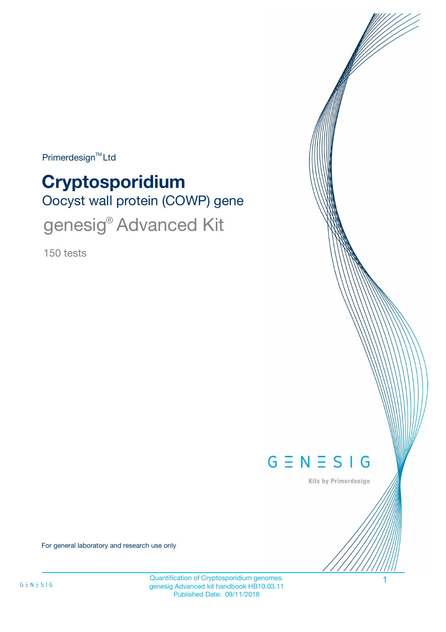Primerdesign<sup>™</sup>Ltd

# Oocyst wall protein (COWP) gene **Cryptosporidium** genesig® Advanced Kit

150 tests



Kits by Primerdesign

For general laboratory and research use only

Quantification of Cryptosporidium genomes. genesig Advanced kit handbook HB10.03.11 Published Date: 09/11/2018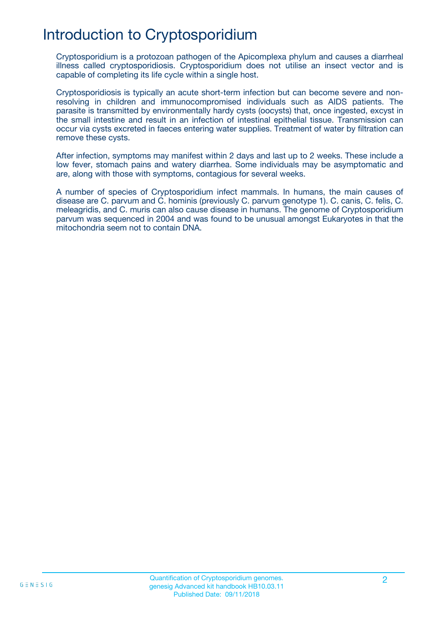# Introduction to Cryptosporidium

Cryptosporidium is a protozoan pathogen of the Apicomplexa phylum and causes a diarrheal illness called cryptosporidiosis. Cryptosporidium does not utilise an insect vector and is capable of completing its life cycle within a single host.

Cryptosporidiosis is typically an acute short-term infection but can become severe and nonresolving in children and immunocompromised individuals such as AIDS patients. The parasite is transmitted by environmentally hardy cysts (oocysts) that, once ingested, excyst in the small intestine and result in an infection of intestinal epithelial tissue. Transmission can occur via cysts excreted in faeces entering water supplies. Treatment of water by filtration can remove these cysts.

After infection, symptoms may manifest within 2 days and last up to 2 weeks. These include a low fever, stomach pains and watery diarrhea. Some individuals may be asymptomatic and are, along with those with symptoms, contagious for several weeks.

A number of species of Cryptosporidium infect mammals. In humans, the main causes of disease are C. parvum and C. hominis (previously C. parvum genotype 1). C. canis, C. felis, C. meleagridis, and C. muris can also cause disease in humans. The genome of Cryptosporidium parvum was sequenced in 2004 and was found to be unusual amongst Eukaryotes in that the mitochondria seem not to contain DNA.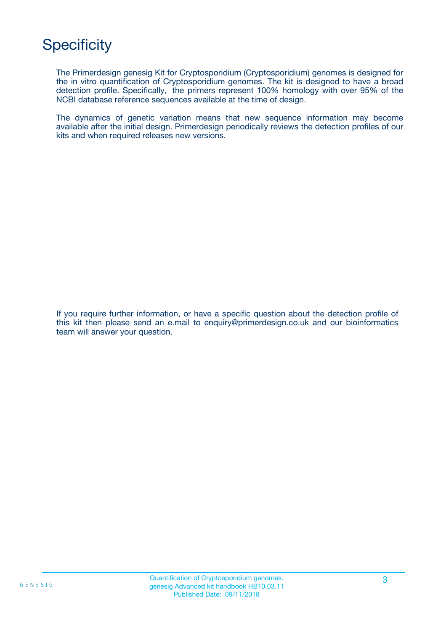# **Specificity**

The Primerdesign genesig Kit for Cryptosporidium (Cryptosporidium) genomes is designed for the in vitro quantification of Cryptosporidium genomes. The kit is designed to have a broad detection profile. Specifically, the primers represent 100% homology with over 95% of the NCBI database reference sequences available at the time of design.

The dynamics of genetic variation means that new sequence information may become available after the initial design. Primerdesign periodically reviews the detection profiles of our kits and when required releases new versions.

If you require further information, or have a specific question about the detection profile of this kit then please send an e.mail to enquiry@primerdesign.co.uk and our bioinformatics team will answer your question.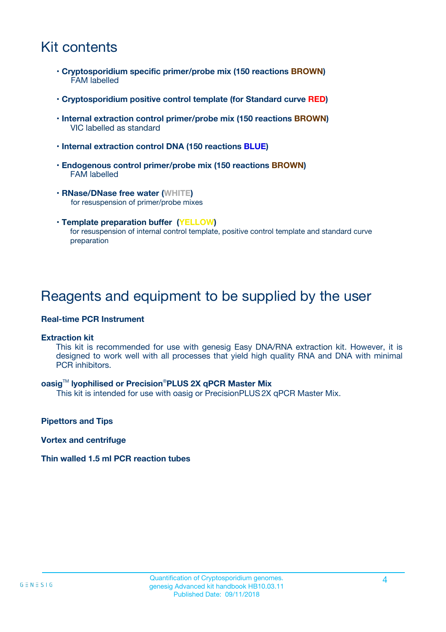### Kit contents

- **Cryptosporidium specific primer/probe mix (150 reactions BROWN)** FAM labelled
- **Cryptosporidium positive control template (for Standard curve RED)**
- **Internal extraction control primer/probe mix (150 reactions BROWN)** VIC labelled as standard
- **Internal extraction control DNA (150 reactions BLUE)**
- **Endogenous control primer/probe mix (150 reactions BROWN)** FAM labelled
- **RNase/DNase free water (WHITE)** for resuspension of primer/probe mixes
- **Template preparation buffer (YELLOW)** for resuspension of internal control template, positive control template and standard curve preparation

### Reagents and equipment to be supplied by the user

#### **Real-time PCR Instrument**

#### **Extraction kit**

This kit is recommended for use with genesig Easy DNA/RNA extraction kit. However, it is designed to work well with all processes that yield high quality RNA and DNA with minimal PCR inhibitors.

#### **oasig**TM **lyophilised or Precision**®**PLUS 2X qPCR Master Mix**

This kit is intended for use with oasig or PrecisionPLUS2X qPCR Master Mix.

**Pipettors and Tips**

**Vortex and centrifuge**

#### **Thin walled 1.5 ml PCR reaction tubes**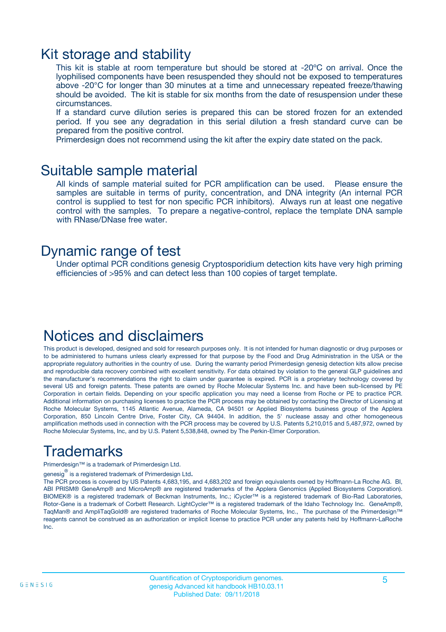### Kit storage and stability

This kit is stable at room temperature but should be stored at -20ºC on arrival. Once the lyophilised components have been resuspended they should not be exposed to temperatures above -20°C for longer than 30 minutes at a time and unnecessary repeated freeze/thawing should be avoided. The kit is stable for six months from the date of resuspension under these circumstances.

If a standard curve dilution series is prepared this can be stored frozen for an extended period. If you see any degradation in this serial dilution a fresh standard curve can be prepared from the positive control.

Primerdesign does not recommend using the kit after the expiry date stated on the pack.

### Suitable sample material

All kinds of sample material suited for PCR amplification can be used. Please ensure the samples are suitable in terms of purity, concentration, and DNA integrity (An internal PCR control is supplied to test for non specific PCR inhibitors). Always run at least one negative control with the samples. To prepare a negative-control, replace the template DNA sample with RNase/DNase free water.

### Dynamic range of test

Under optimal PCR conditions genesig Cryptosporidium detection kits have very high priming efficiencies of >95% and can detect less than 100 copies of target template.

### Notices and disclaimers

This product is developed, designed and sold for research purposes only. It is not intended for human diagnostic or drug purposes or to be administered to humans unless clearly expressed for that purpose by the Food and Drug Administration in the USA or the appropriate regulatory authorities in the country of use. During the warranty period Primerdesign genesig detection kits allow precise and reproducible data recovery combined with excellent sensitivity. For data obtained by violation to the general GLP guidelines and the manufacturer's recommendations the right to claim under guarantee is expired. PCR is a proprietary technology covered by several US and foreign patents. These patents are owned by Roche Molecular Systems Inc. and have been sub-licensed by PE Corporation in certain fields. Depending on your specific application you may need a license from Roche or PE to practice PCR. Additional information on purchasing licenses to practice the PCR process may be obtained by contacting the Director of Licensing at Roche Molecular Systems, 1145 Atlantic Avenue, Alameda, CA 94501 or Applied Biosystems business group of the Applera Corporation, 850 Lincoln Centre Drive, Foster City, CA 94404. In addition, the 5' nuclease assay and other homogeneous amplification methods used in connection with the PCR process may be covered by U.S. Patents 5,210,015 and 5,487,972, owned by Roche Molecular Systems, Inc, and by U.S. Patent 5,538,848, owned by The Perkin-Elmer Corporation.

# Trademarks

Primerdesign™ is a trademark of Primerdesign Ltd.

genesig $^\circledR$  is a registered trademark of Primerdesign Ltd.

The PCR process is covered by US Patents 4,683,195, and 4,683,202 and foreign equivalents owned by Hoffmann-La Roche AG. BI, ABI PRISM® GeneAmp® and MicroAmp® are registered trademarks of the Applera Genomics (Applied Biosystems Corporation). BIOMEK® is a registered trademark of Beckman Instruments, Inc.; iCycler™ is a registered trademark of Bio-Rad Laboratories, Rotor-Gene is a trademark of Corbett Research. LightCycler™ is a registered trademark of the Idaho Technology Inc. GeneAmp®, TaqMan® and AmpliTaqGold® are registered trademarks of Roche Molecular Systems, Inc., The purchase of the Primerdesign™ reagents cannot be construed as an authorization or implicit license to practice PCR under any patents held by Hoffmann-LaRoche Inc.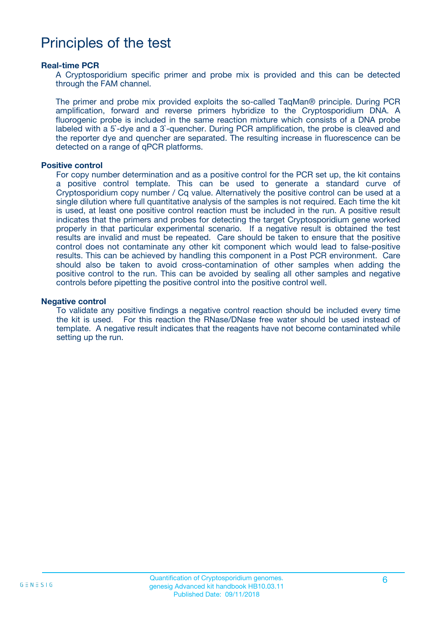### Principles of the test

#### **Real-time PCR**

A Cryptosporidium specific primer and probe mix is provided and this can be detected through the FAM channel.

The primer and probe mix provided exploits the so-called TaqMan® principle. During PCR amplification, forward and reverse primers hybridize to the Cryptosporidium DNA. A fluorogenic probe is included in the same reaction mixture which consists of a DNA probe labeled with a 5`-dye and a 3`-quencher. During PCR amplification, the probe is cleaved and the reporter dye and quencher are separated. The resulting increase in fluorescence can be detected on a range of qPCR platforms.

#### **Positive control**

For copy number determination and as a positive control for the PCR set up, the kit contains a positive control template. This can be used to generate a standard curve of Cryptosporidium copy number / Cq value. Alternatively the positive control can be used at a single dilution where full quantitative analysis of the samples is not required. Each time the kit is used, at least one positive control reaction must be included in the run. A positive result indicates that the primers and probes for detecting the target Cryptosporidium gene worked properly in that particular experimental scenario. If a negative result is obtained the test results are invalid and must be repeated. Care should be taken to ensure that the positive control does not contaminate any other kit component which would lead to false-positive results. This can be achieved by handling this component in a Post PCR environment. Care should also be taken to avoid cross-contamination of other samples when adding the positive control to the run. This can be avoided by sealing all other samples and negative controls before pipetting the positive control into the positive control well.

#### **Negative control**

To validate any positive findings a negative control reaction should be included every time the kit is used. For this reaction the RNase/DNase free water should be used instead of template. A negative result indicates that the reagents have not become contaminated while setting up the run.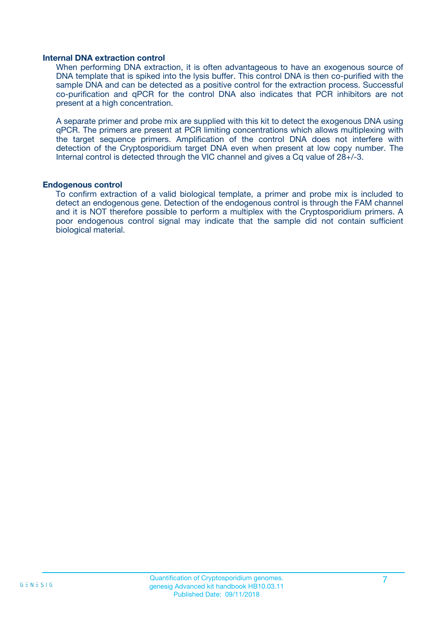#### **Internal DNA extraction control**

When performing DNA extraction, it is often advantageous to have an exogenous source of DNA template that is spiked into the lysis buffer. This control DNA is then co-purified with the sample DNA and can be detected as a positive control for the extraction process. Successful co-purification and qPCR for the control DNA also indicates that PCR inhibitors are not present at a high concentration.

A separate primer and probe mix are supplied with this kit to detect the exogenous DNA using qPCR. The primers are present at PCR limiting concentrations which allows multiplexing with the target sequence primers. Amplification of the control DNA does not interfere with detection of the Cryptosporidium target DNA even when present at low copy number. The Internal control is detected through the VIC channel and gives a Cq value of 28+/-3.

#### **Endogenous control**

To confirm extraction of a valid biological template, a primer and probe mix is included to detect an endogenous gene. Detection of the endogenous control is through the FAM channel and it is NOT therefore possible to perform a multiplex with the Cryptosporidium primers. A poor endogenous control signal may indicate that the sample did not contain sufficient biological material.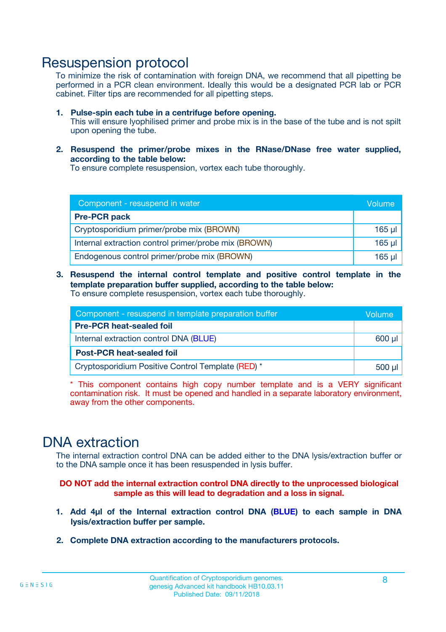### Resuspension protocol

To minimize the risk of contamination with foreign DNA, we recommend that all pipetting be performed in a PCR clean environment. Ideally this would be a designated PCR lab or PCR cabinet. Filter tips are recommended for all pipetting steps.

- **1. Pulse-spin each tube in a centrifuge before opening.** This will ensure lyophilised primer and probe mix is in the base of the tube and is not spilt upon opening the tube.
- **2. Resuspend the primer/probe mixes in the RNase/DNase free water supplied, according to the table below:**

To ensure complete resuspension, vortex each tube thoroughly.

| Component - resuspend in water                       |          |  |
|------------------------------------------------------|----------|--|
| <b>Pre-PCR pack</b>                                  |          |  |
| Cryptosporidium primer/probe mix (BROWN)             | $165$ µl |  |
| Internal extraction control primer/probe mix (BROWN) | $165$ µl |  |
| Endogenous control primer/probe mix (BROWN)          | 165 µl   |  |

**3. Resuspend the internal control template and positive control template in the template preparation buffer supplied, according to the table below:** To ensure complete resuspension, vortex each tube thoroughly.

| Component - resuspend in template preparation buffer |  |  |  |
|------------------------------------------------------|--|--|--|
| <b>Pre-PCR heat-sealed foil</b>                      |  |  |  |
| Internal extraction control DNA (BLUE)               |  |  |  |
| <b>Post-PCR heat-sealed foil</b>                     |  |  |  |
| Cryptosporidium Positive Control Template (RED) *    |  |  |  |

\* This component contains high copy number template and is a VERY significant contamination risk. It must be opened and handled in a separate laboratory environment, away from the other components.

### DNA extraction

The internal extraction control DNA can be added either to the DNA lysis/extraction buffer or to the DNA sample once it has been resuspended in lysis buffer.

**DO NOT add the internal extraction control DNA directly to the unprocessed biological sample as this will lead to degradation and a loss in signal.**

- **1. Add 4µl of the Internal extraction control DNA (BLUE) to each sample in DNA lysis/extraction buffer per sample.**
- **2. Complete DNA extraction according to the manufacturers protocols.**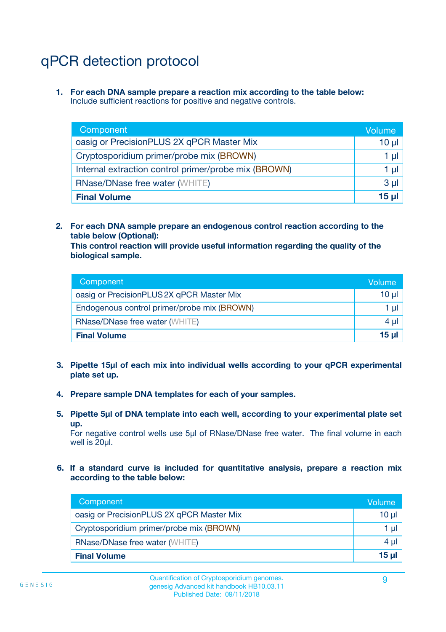# qPCR detection protocol

**1. For each DNA sample prepare a reaction mix according to the table below:** Include sufficient reactions for positive and negative controls.

| Component                                            | Volume   |
|------------------------------------------------------|----------|
| oasig or PrecisionPLUS 2X qPCR Master Mix            | $10 \mu$ |
| Cryptosporidium primer/probe mix (BROWN)             | 1 µI     |
| Internal extraction control primer/probe mix (BROWN) | 1 µl     |
| <b>RNase/DNase free water (WHITE)</b>                | $3 \mu$  |
| <b>Final Volume</b>                                  | 15 µl    |

**2. For each DNA sample prepare an endogenous control reaction according to the table below (Optional):**

**This control reaction will provide useful information regarding the quality of the biological sample.**

| Component                                   | Volume   |
|---------------------------------------------|----------|
| oasig or PrecisionPLUS 2X qPCR Master Mix   | $10 \mu$ |
| Endogenous control primer/probe mix (BROWN) | 1 µI     |
| <b>RNase/DNase free water (WHITE)</b>       | $4 \mu$  |
| <b>Final Volume</b>                         | 15 µl    |

- **3. Pipette 15µl of each mix into individual wells according to your qPCR experimental plate set up.**
- **4. Prepare sample DNA templates for each of your samples.**
- **5. Pipette 5µl of DNA template into each well, according to your experimental plate set up.**

For negative control wells use 5µl of RNase/DNase free water. The final volume in each well is 20ul.

**6. If a standard curve is included for quantitative analysis, prepare a reaction mix according to the table below:**

| Component                                 | Volume   |
|-------------------------------------------|----------|
| oasig or PrecisionPLUS 2X qPCR Master Mix | 10 $\mu$ |
| Cryptosporidium primer/probe mix (BROWN)  | 1 µI I   |
| <b>RNase/DNase free water (WHITE)</b>     | $4 \mu$  |
| <b>Final Volume</b>                       | 15 µl    |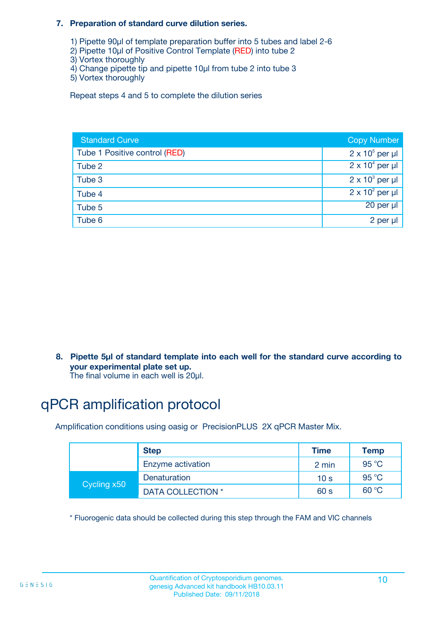#### **7. Preparation of standard curve dilution series.**

- 1) Pipette 90µl of template preparation buffer into 5 tubes and label 2-6
- 2) Pipette 10µl of Positive Control Template (RED) into tube 2
- 3) Vortex thoroughly
- 4) Change pipette tip and pipette 10µl from tube 2 into tube 3
- 5) Vortex thoroughly

Repeat steps 4 and 5 to complete the dilution series

| <b>Standard Curve</b>         | <b>Copy Number</b>     |
|-------------------------------|------------------------|
| Tube 1 Positive control (RED) | $2 \times 10^5$ per µl |
| Tube 2                        | $2 \times 10^4$ per µl |
| Tube 3                        | $2 \times 10^3$ per µl |
| Tube 4                        | $2 \times 10^2$ per µl |
| Tube 5                        | 20 per µl              |
| Tube 6                        | 2 per µl               |

**8. Pipette 5µl of standard template into each well for the standard curve according to your experimental plate set up.**

#### The final volume in each well is 20µl.

# qPCR amplification protocol

Amplification conditions using oasig or PrecisionPLUS 2X qPCR Master Mix.

|             | <b>Step</b>       | <b>Time</b>     | Temp    |
|-------------|-------------------|-----------------|---------|
|             | Enzyme activation | 2 min           | 95 °C   |
| Cycling x50 | Denaturation      | 10 <sub>s</sub> | 95 $°C$ |
|             | DATA COLLECTION * | 60 s            | 60 °C   |

\* Fluorogenic data should be collected during this step through the FAM and VIC channels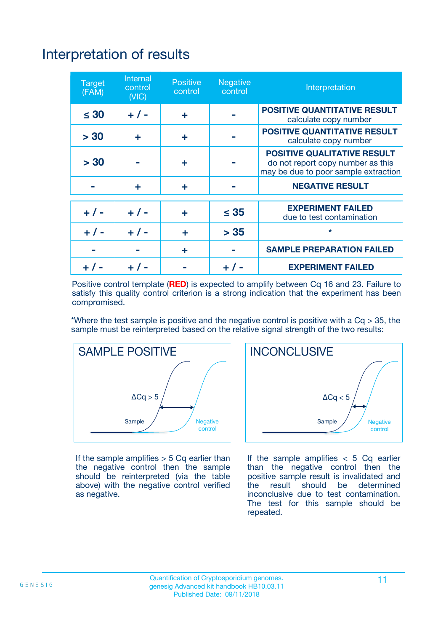# Interpretation of results

| <b>Target</b><br>(FAM) | <b>Internal</b><br>control<br>(NIC) | <b>Positive</b><br>control | <b>Negative</b><br>control | Interpretation                                                                                                  |
|------------------------|-------------------------------------|----------------------------|----------------------------|-----------------------------------------------------------------------------------------------------------------|
| $\leq 30$              | $+ 1 -$                             | ÷                          |                            | <b>POSITIVE QUANTITATIVE RESULT</b><br>calculate copy number                                                    |
| > 30                   | ٠                                   | ÷                          |                            | <b>POSITIVE QUANTITATIVE RESULT</b><br>calculate copy number                                                    |
| > 30                   |                                     | ÷                          |                            | <b>POSITIVE QUALITATIVE RESULT</b><br>do not report copy number as this<br>may be due to poor sample extraction |
|                        | ÷                                   | ÷                          |                            | <b>NEGATIVE RESULT</b>                                                                                          |
| $+ 1 -$                | $+ 1 -$                             | ÷                          | $\leq$ 35                  | <b>EXPERIMENT FAILED</b><br>due to test contamination                                                           |
| $+$ / -                | $+ 1 -$                             | ÷                          | > 35                       | $\star$                                                                                                         |
|                        |                                     | ÷                          |                            | <b>SAMPLE PREPARATION FAILED</b>                                                                                |
|                        |                                     |                            | $+$ /                      | <b>EXPERIMENT FAILED</b>                                                                                        |

Positive control template (**RED**) is expected to amplify between Cq 16 and 23. Failure to satisfy this quality control criterion is a strong indication that the experiment has been compromised.

\*Where the test sample is positive and the negative control is positive with a  $Ca > 35$ , the sample must be reinterpreted based on the relative signal strength of the two results:



If the sample amplifies  $> 5$  Cq earlier than the negative control then the sample should be reinterpreted (via the table above) with the negative control verified as negative.



If the sample amplifies  $< 5$  Cq earlier than the negative control then the positive sample result is invalidated and<br>the result should be determined  $the$  result should be inconclusive due to test contamination. The test for this sample should be repeated.